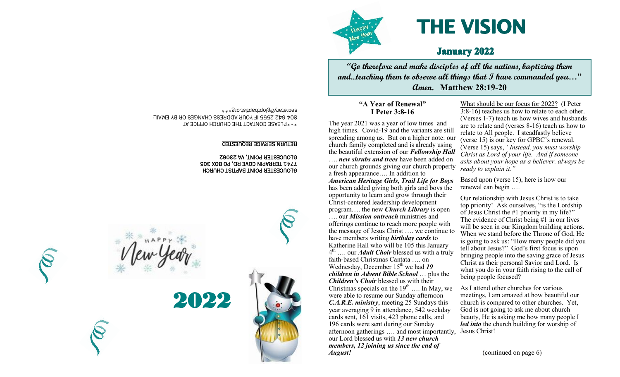

# **THE VISION**

### **January 2022**

**"Go therefore and make disciples of all the nations, baptizing them and...teaching them to observe all things that I have commanded you…" Amen. Matthew 28:19-20**

#### secretary@gloptbaptist.org\*\*\* **"A Year of Renewal" I Peter 3:8-16**

The year 2021 was a year of low times and high times. Covid-19 and the variants are still spreading among us. But on a higher note: our church family completed and is already using the beautiful extension of our *Fellowship Hall* …. *new shrubs and trees* have been added on our church grounds giving our church property

a fresh appearance…. In addition to *American Heritage Girls, Trail Life for Boys* has been added giving both girls and boys the opportunity to learn and grow through their Christ-centered leadership development program…. the new *Church Library* is open …. our *Mission outreach* ministries and offerings continue to reach more people with the message of Jesus Christ …. we continue to have members writing *birthday cards* to Katherine Hall who will be 105 this January 4 th …. our *Adult Choir* blessed us with a truly faith-based Christmas Cantata …. on Wednesday, December 15<sup>th</sup> we had 19 *children in Advent Bible School* … plus the *Children's Choir* blessed us with their Christmas specials on the  $19<sup>th</sup>$  .... In May, we were able to resume our Sunday afternoon *C.A.R.E. ministry*, meeting 25 Sundays this year averaging 9 in attendance, 542 weekday cards sent, 161 visits, 423 phone calls, and 196 cards were sent during our Sunday afternoon gatherings …. and most importantly, our Lord blessed us with *13 new church members, 12 joining us since the end of August!* 

What should be our focus for 2022? (I Peter 3:8-16) teaches us how to relate to each other. (Verses 1-7) teach us how wives and husbands are to relate and (verses 8-16) teach us how to relate to All people. I steadfastly believe (verse 15) is our key for GPBC's renewal. (Verse 15) says, *"Instead, you must worship Christ as Lord of your life. And if someone asks about your hope as a believer, always be ready to explain it."*

Based upon (verse 15), here is how our renewal can begin ….

Our relationship with Jesus Christ is to take top priority! Ask ourselves, "is the Lordship of Jesus Christ the #1 priority in my life?" The evidence of Christ being #1 in our lives will be seen in our Kingdom building actions. When we stand before the Throne of God, He is going to ask us: "How many people did you tell about Jesus?" God's first focus is upon bringing people into the saving grace of Jesus Christ as their personal Savior and Lord. Is what you do in your faith rising to the call of being people focused?

As I attend other churches for various meetings, I am amazed at how beautiful our church is compared to other churches. Yet, God is not going to ask me about church beauty, He is asking me how many people I *led into* the church building for worship of Jesus Christ!

(continued on page 6)

\*\*\*PLEASE CONTACT THE CHURCH OFFICE AT 2555 IF YOUR ADDRESS CHANGES OR BY EMAIL: - 642 - 804

#### RETURN SERVICE REQUESTED

#### GLOUCESTER POINT BAPTIST CHURCH 7741 TERRAPIN COVE RD, PO BOX 305 GLOUCESTER POINT, VA 23062



2022



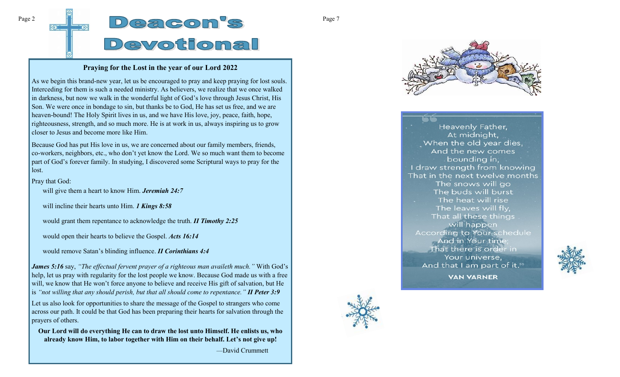# $Page 2$   $D @ 3$   $D @ 3$   $S$   $Page 7$ Devotional

#### **Praying for the Lost in the year of our Lord 2022**

As we begin this brand-new year, let us be encouraged to pray and keep praying for lost souls. Interceding for them is such a needed ministry. As believers, we realize that we once walked in darkness, but now we walk in the wonderful light of God's love through Jesus Christ, His Son. We were once in bondage to sin, but thanks be to God, He has set us free, and we are heaven-bound! The Holy Spirit lives in us, and we have His love, joy, peace, faith, hope, righteousness, strength, and so much more. He is at work in us, always inspiring us to grow closer to Jesus and become more like Him.

Because God has put His love in us, we are concerned about our family members, friends, co-workers, neighbors, etc., who don't yet know the Lord. We so much want them to become part of God's forever family. In studying, I discovered some Scriptural ways to pray for the lost.

Pray that God:

will give them a heart to know Him. *Jeremiah 24:7*

will incline their hearts unto Him. *1 Kings 8:58*

would grant them repentance to acknowledge the truth. *II Timothy 2:25*

would open their hearts to believe the Gospel. *Acts 16:14*

would remove Satan's blinding influence. *II Corinthians 4:4*

*James 5:16* say, *"The effectual fervent prayer of a righteous man availeth much."* With God's help, let us pray with regularity for the lost people we know. Because God made us with a free will, we know that He won't force anyone to believe and receive His gift of salvation, but He is *"not willing that any should perish, but that all should come to repentance." II Peter 3:9* Let us also look for opportunities to share the message of the Gospel to strangers who come across our path. It could be that God has been preparing their hearts for salvation through the prayers of others.

**Our Lord will do everything He can to draw the lost unto Himself. He enlists us, who already know Him, to labor together with Him on their behalf. Let's not give up!**

—David Crummett



Heavenly Father, At midnight, When the old year dies, And the new comes bounding in; I draw strength from knowing That in the next twelve months The snows will go The buds will burst The heat will rise The leaves will fly, That all these things will happen According to Your schedule And in Your time That there is order in Your universe, And that I am part of it."



**VAN VARNER**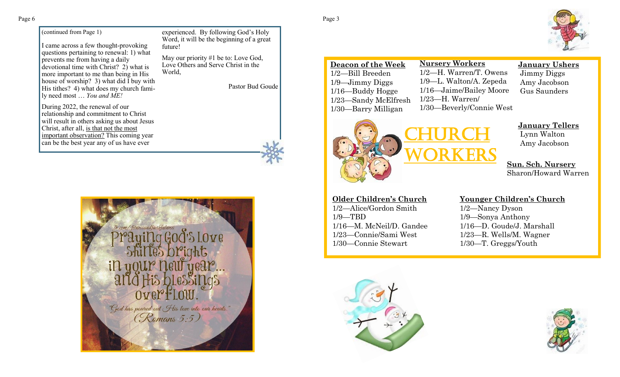(continued from Page 1)

I came across a few thought-provoking questions pertaining to renewal: 1) what prevents me from having a daily devotional time with Christ? 2) what is more important to me than being in His house of worship? 3) what did I buy with His tithes? 4) what does my church family need most … *You and ME!*

experienced. By following God's Holy Word, it will be the beginning of a great future!

May our priority #1 be to: Love God, Love Others and Serve Christ in the World,

Pastor Bud Goude

During 2022, the renewal of our relationship and commitment to Christ will result in others asking us about Jesus Christ, after all, is that not the most important observation? This coming year can be the best year any of us have ever

> / fitnessandfaithfulness Ove  $i \mathsf{\Omega}$   $\mathsf{u}$  $0$ and Over-How "God has poured out His love into our hearts."<br>(Romans 5:5)

**Deacon of the Week** 1/16—Buddy Hogge 1/23—Sandy McElfresh 1/30—Barry Milligan **Nursery Workers** 1/2—H. Warren/T. Owens 1/9—L. Walton/A. Zepeda 1/16—Jaime/Bailey Moore 1/23—H. Warren/ 1/30—Beverly/Connie West

## **January Ushers**

Jimmy Diggs Amy Jacobson Gus Saunders



**January Tellers** Lynn Walton Amy Jacobson

**Sun. Sch. Nursery** Sharon/Howard Warren

#### **Older Children's Church** 1/2—Alice/Gordon Smith

1/9—TBD 1/16—M. McNeil/D. Gandee 1/23—Connie/Sami West 1/30—Connie Stewart

#### **Younger Children's Church**

1/2—Nancy Dyson 1/9—Sonya Anthony 1/16—D. Goude/J. Marshall 1/23—R. Wells/M. Wagner 1/30—T. Greggs/Youth







1/2—Bill Breeden 1/9—Jimmy Diggs